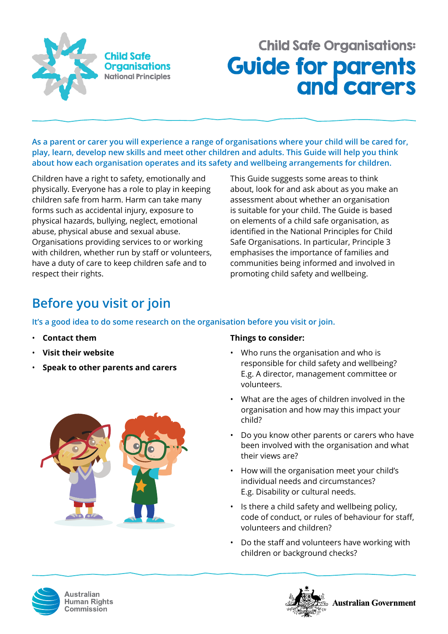

# Guide for parents and carers Child Safe Organisations:

**As a parent or carer you will experience a range of organisations where your child will be cared for, play, learn, develop new skills and meet other children and adults. This Guide will help you think about how each organisation operates and its safety and wellbeing arrangements for children.** 

Children have a right to safety, emotionally and physically. Everyone has a role to play in keeping children safe from harm. Harm can take many forms such as accidental injury, exposure to physical hazards, bullying, neglect, emotional abuse, physical abuse and sexual abuse. Organisations providing services to or working with children, whether run by staff or volunteers, have a duty of care to keep children safe and to respect their rights.

This Guide suggests some areas to think about, look for and ask about as you make an assessment about whether an organisation is suitable for your child. The Guide is based on elements of a child safe organisation, as identified in the National Principles for Child Safe Organisations. In particular, Principle 3 emphasises the importance of families and communities being informed and involved in promoting child safety and wellbeing.

# **Before you visit or join**

### **It's a good idea to do some research on the organisation before you visit or join.**

- **Contact them**
- **Visit their website**
- **Speak to other parents and carers**



### **Things to consider:**

- Who runs the organisation and who is responsible for child safety and wellbeing? E.g. A director, management committee or volunteers.
- What are the ages of children involved in the organisation and how may this impact your child?
- Do you know other parents or carers who have been involved with the organisation and what their views are?
- How will the organisation meet your child's individual needs and circumstances? E.g. Disability or cultural needs.
- Is there a child safety and wellbeing policy, code of conduct, or rules of behaviour for staff, volunteers and children?
- Do the staff and volunteers have working with children or background checks?



Australian **Human Rights** Commission

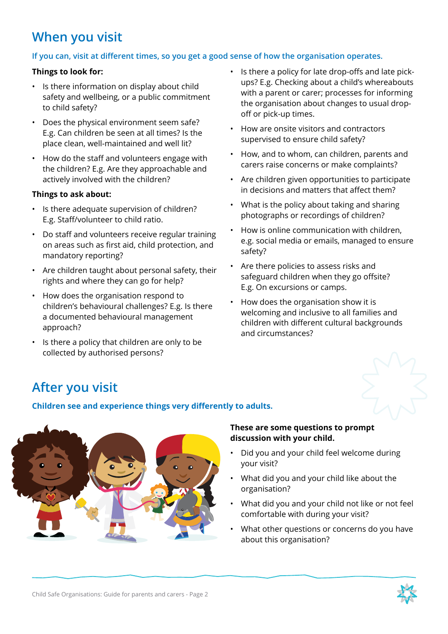## **When you visit**

### **If you can, visit at different times, so you get a good sense of how the organisation operates.**

#### **Things to look for:**

- Is there information on display about child safety and wellbeing, or a public commitment to child safety?
- Does the physical environment seem safe? E.g. Can children be seen at all times? Is the place clean, well-maintained and well lit?
- How do the staff and volunteers engage with the children? E.g. Are they approachable and actively involved with the children?

#### **Things to ask about:**

- Is there adequate supervision of children? E.g. Staff/volunteer to child ratio.
- Do staff and volunteers receive regular training on areas such as first aid, child protection, and mandatory reporting?
- Are children taught about personal safety, their rights and where they can go for help?
- How does the organisation respond to children's behavioural challenges? E.g. Is there a documented behavioural management approach?
- Is there a policy that children are only to be collected by authorised persons?
- Is there a policy for late drop-offs and late pickups? E.g. Checking about a child's whereabouts with a parent or carer; processes for informing the organisation about changes to usual dropoff or pick-up times.
- How are onsite visitors and contractors supervised to ensure child safety?
- How, and to whom, can children, parents and carers raise concerns or make complaints?
- Are children given opportunities to participate in decisions and matters that affect them?
- What is the policy about taking and sharing photographs or recordings of children?
- How is online communication with children, e.g. social media or emails, managed to ensure safety?
- Are there policies to assess risks and safeguard children when they go offsite? E.g. On excursions or camps.
- How does the organisation show it is welcoming and inclusive to all families and children with different cultural backgrounds and circumstances?

### **After you visit**

#### **Children see and experience things very differently to adults.**



#### **These are some questions to prompt discussion with your child.**

- Did you and your child feel welcome during your visit?
- What did you and your child like about the organisation?
- What did you and your child not like or not feel comfortable with during your visit?
- What other questions or concerns do you have about this organisation?